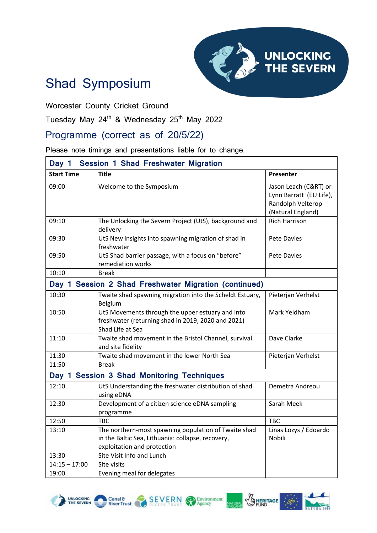

**BERITAGE** 

## Shad Symposium

Worcester County Cricket Ground

Tuesday May 24<sup>th</sup> & Wednesday 25<sup>th</sup> May 2022

## Programme (correct as of 20/5/22)

Please note timings and presentations liable for to change.

| <b>Session 1 Shad Freshwater Migration</b><br>Day 1   |                                                                                                                                          |                                                                                            |  |
|-------------------------------------------------------|------------------------------------------------------------------------------------------------------------------------------------------|--------------------------------------------------------------------------------------------|--|
| <b>Start Time</b>                                     | <b>Title</b>                                                                                                                             | Presenter                                                                                  |  |
| 09:00                                                 | Welcome to the Symposium                                                                                                                 | Jason Leach (C&RT) or<br>Lynn Barratt (EU Life),<br>Randolph Velterop<br>(Natural England) |  |
| 09:10                                                 | The Unlocking the Severn Project (UtS), background and<br>delivery                                                                       | <b>Rich Harrison</b>                                                                       |  |
| 09:30                                                 | UtS New insights into spawning migration of shad in<br>freshwater                                                                        | <b>Pete Davies</b>                                                                         |  |
| 09:50                                                 | UtS Shad barrier passage, with a focus on "before"<br>remediation works                                                                  | <b>Pete Davies</b>                                                                         |  |
| 10:10                                                 | <b>Break</b>                                                                                                                             |                                                                                            |  |
| Day 1 Session 2 Shad Freshwater Migration (continued) |                                                                                                                                          |                                                                                            |  |
| 10:30                                                 | Twaite shad spawning migration into the Scheldt Estuary,<br>Belgium                                                                      | Pieterjan Verhelst                                                                         |  |
| 10:50                                                 | UtS Movements through the upper estuary and into<br>freshwater (returning shad in 2019, 2020 and 2021)                                   | Mark Yeldham                                                                               |  |
|                                                       | Shad Life at Sea                                                                                                                         |                                                                                            |  |
| 11:10                                                 | Twaite shad movement in the Bristol Channel, survival<br>and site fidelity                                                               | Dave Clarke                                                                                |  |
| 11:30                                                 | Twaite shad movement in the lower North Sea                                                                                              | Pieterjan Verhelst                                                                         |  |
| 11:50                                                 | <b>Break</b>                                                                                                                             |                                                                                            |  |
| Day 1 Session 3 Shad Monitoring Techniques            |                                                                                                                                          |                                                                                            |  |
| 12:10                                                 | UtS Understanding the freshwater distribution of shad<br>using eDNA                                                                      | Demetra Andreou                                                                            |  |
| 12:30                                                 | Development of a citizen science eDNA sampling<br>programme                                                                              | Sarah Meek                                                                                 |  |
| 12:50                                                 | <b>TBC</b>                                                                                                                               | <b>TBC</b>                                                                                 |  |
| 13:10                                                 | The northern-most spawning population of Twaite shad<br>in the Baltic Sea, Lithuania: collapse, recovery,<br>exploitation and protection | Linas Lozys / Edoardo<br>Nobili                                                            |  |
| 13:30                                                 | Site Visit Info and Lunch                                                                                                                |                                                                                            |  |
| $14:15 - 17:00$                                       | Site visits                                                                                                                              |                                                                                            |  |
| 19:00                                                 | Evening meal for delegates                                                                                                               |                                                                                            |  |

**SEVERN** Environment



Canal  $\theta$ <br>River Trust